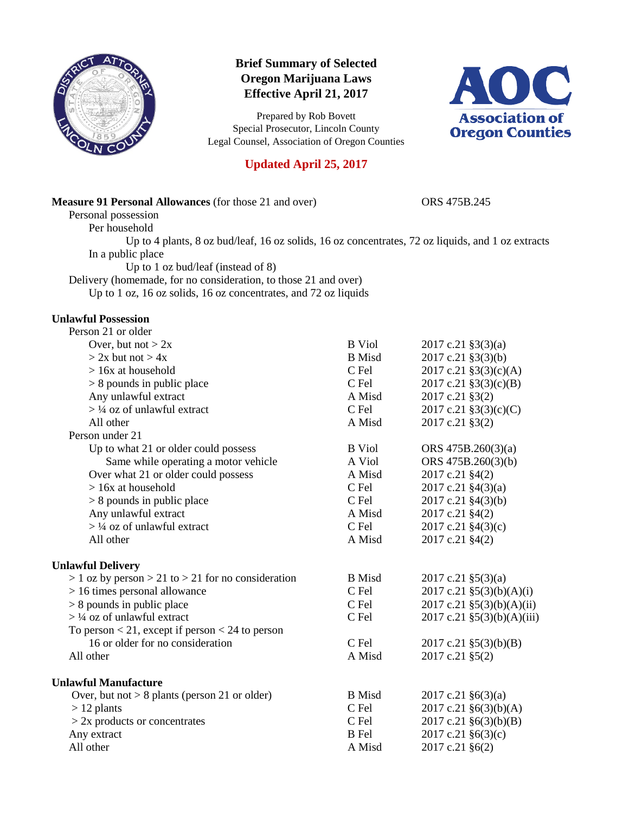

# **Brief Summary of Selected Oregon Marijuana Laws Effective April 21, 2017**

Prepared by Rob Bovett Special Prosecutor, Lincoln County Legal Counsel, Association of Oregon Counties



# **Updated April 25, 2017**

### **Measure 91 Personal Allowances** (for those 21 and over) ORS 475B.245

Personal possession

Per household

Up to 4 plants, 8 oz bud/leaf, 16 oz solids, 16 oz concentrates, 72 oz liquids, and 1 oz extracts In a public place

Up to 1 oz bud/leaf (instead of 8)

Delivery (homemade, for no consideration, to those 21 and over)

Up to 1 oz, 16 oz solids, 16 oz concentrates, and 72 oz liquids

### **Unlawful Possession**

| Person 21 or older                                       |               |                              |
|----------------------------------------------------------|---------------|------------------------------|
| Over, but not $> 2x$                                     | <b>B</b> Viol | $2017$ c.21 §3(3)(a)         |
| $> 2x$ but not $> 4x$                                    | <b>B</b> Misd | 2017 c.21 §3(3)(b)           |
| $> 16x$ at household                                     | C Fel         | 2017 c.21 §3(3)(c)(A)        |
| $> 8$ pounds in public place                             | C Fel         | $2017$ c.21 §3(3)(c)(B)      |
| Any unlawful extract                                     | A Misd        | 2017 c.21 §3(2)              |
| $>$ 1/4 oz of unlawful extract                           | C Fel         | 2017 c.21 $\S3(3)(c)(C)$     |
| All other                                                | A Misd        | 2017 c.21 §3(2)              |
| Person under 21                                          |               |                              |
| Up to what 21 or older could possess                     | <b>B</b> Viol | ORS 475B.260(3)(a)           |
| Same while operating a motor vehicle                     | A Viol        | ORS 475B.260(3)(b)           |
| Over what 21 or older could possess                      | A Misd        | 2017 c.21 §4(2)              |
| $> 16x$ at household                                     | C Fel         | 2017 c.21 §4(3)(a)           |
| $> 8$ pounds in public place                             | C Fel         | 2017 c.21 §4(3)(b)           |
| Any unlawful extract                                     | A Misd        | 2017 c.21 §4(2)              |
| $>$ 1/4 oz of unlawful extract                           | C Fel         | 2017 c.21 §4(3)(c)           |
| All other                                                | A Misd        | 2017 c.21 §4(2)              |
| <b>Unlawful Delivery</b>                                 |               |                              |
| $> 1$ oz by person $> 21$ to $> 21$ for no consideration | <b>B</b> Misd | $2017$ c.21 §5(3)(a)         |
| $> 16$ times personal allowance                          | C Fel         | $2017$ c.21 §5(3)(b)(A)(i)   |
| $> 8$ pounds in public place                             | C Fel         | $2017$ c.21 §5(3)(b)(A)(ii)  |
| $>$ 1/4 oz of unlawful extract                           | C Fel         | $2017$ c.21 §5(3)(b)(A)(iii) |
| To person $<$ 21, except if person $<$ 24 to person      |               |                              |
| 16 or older for no consideration                         | C Fel         | $2017$ c.21 §5(3)(b)(B)      |
| All other                                                | A Misd        | 2017 c.21 §5(2)              |
| <b>Unlawful Manufacture</b>                              |               |                              |
| Over, but not $> 8$ plants (person 21 or older)          | <b>B</b> Misd | $2017$ c.21 §6(3)(a)         |
| $> 12$ plants                                            | C Fel         | 2017 c.21 §6(3)(b)(A)        |
| $> 2x$ products or concentrates                          | C Fel         | $2017$ c.21 §6(3)(b)(B)      |
| Any extract                                              | <b>B</b> Fel  | 2017 c.21 §6(3)(c)           |
| All other                                                | A Misd        | 2017 c.21 §6(2)              |
|                                                          |               |                              |